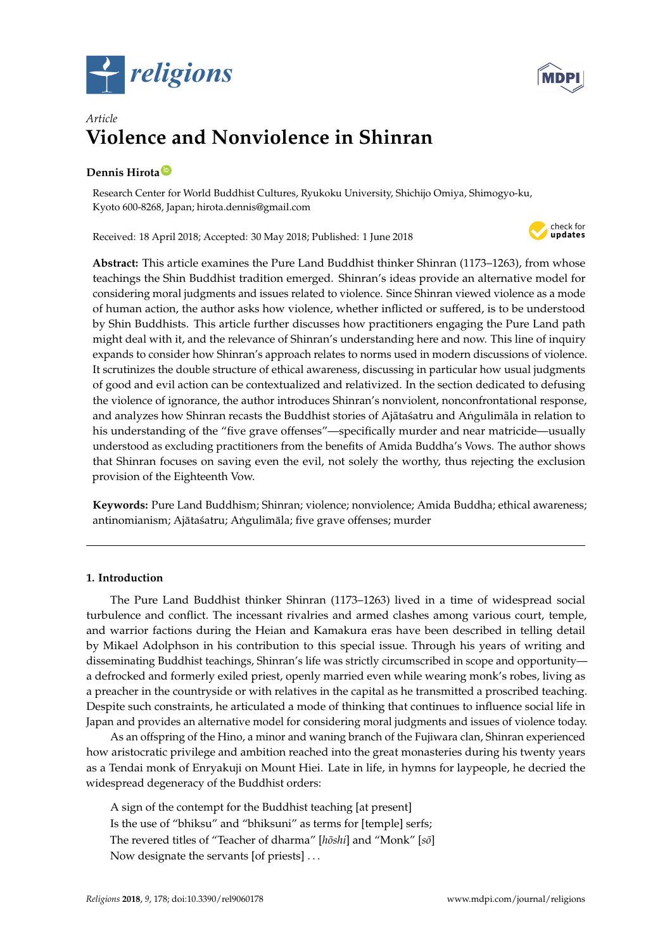



# *Article* **Violence and Nonviolence in Shinran**

# **Dennis Hirota [ID](https://orcid.org/0000-0001-7816-8995)**

Research Center for World Buddhist Cultures, Ryukoku University, Shichijo Omiya, Shimogyo-ku, Kyoto 600-8268, Japan; hirota.dennis@gmail.com

Received: 18 April 2018; Accepted: 30 May 2018; Published: 1 June 2018



**Abstract:** This article examines the Pure Land Buddhist thinker Shinran (1173–1263), from whose teachings the Shin Buddhist tradition emerged. Shinran's ideas provide an alternative model for considering moral judgments and issues related to violence. Since Shinran viewed violence as a mode of human action, the author asks how violence, whether inflicted or suffered, is to be understood by Shin Buddhists. This article further discusses how practitioners engaging the Pure Land path might deal with it, and the relevance of Shinran's understanding here and now. This line of inquiry expands to consider how Shinran's approach relates to norms used in modern discussions of violence. It scrutinizes the double structure of ethical awareness, discussing in particular how usual judgments of good and evil action can be contextualized and relativized. In the section dedicated to defusing the violence of ignorance, the author introduces Shinran's nonviolent, nonconfrontational response, and analyzes how Shinran recasts the Buddhist stories of Ajātas´atru and Angulim āla in relation to his understanding of the "five grave offenses"—specifically murder and near matricide—usually understood as excluding practitioners from the benefits of Amida Buddha's Vows. The author shows that Shinran focuses on saving even the evil, not solely the worthy, thus rejecting the exclusion provision of the Eighteenth Vow.

**Keywords:** Pure Land Buddhism; Shinran; violence; nonviolence; Amida Buddha; ethical awareness; antinomianism; Ajātaśatru; Angulimāla; five grave offenses; murder

## **1. Introduction**

The Pure Land Buddhist thinker Shinran (1173–1263) lived in a time of widespread social turbulence and conflict. The incessant rivalries and armed clashes among various court, temple, and warrior factions during the Heian and Kamakura eras have been described in telling detail by Mikael Adolphson in his contribution to this special issue. Through his years of writing and disseminating Buddhist teachings, Shinran's life was strictly circumscribed in scope and opportunity a defrocked and formerly exiled priest, openly married even while wearing monk's robes, living as a preacher in the countryside or with relatives in the capital as he transmitted a proscribed teaching. Despite such constraints, he articulated a mode of thinking that continues to influence social life in Japan and provides an alternative model for considering moral judgments and issues of violence today.

As an offspring of the Hino, a minor and waning branch of the Fujiwara clan, Shinran experienced how aristocratic privilege and ambition reached into the great monasteries during his twenty years as a Tendai monk of Enryakuji on Mount Hiei. Late in life, in hymns for laypeople, he decried the widespread degeneracy of the Buddhist orders:

A sign of the contempt for the Buddhist teaching [at present] Is the use of "bhiksu" and "bhiksuni" as terms for [temple] serfs; The revered titles of "Teacher of dharma" [hōshi] and "Monk" [sō] Now designate the servants [of priests] . . .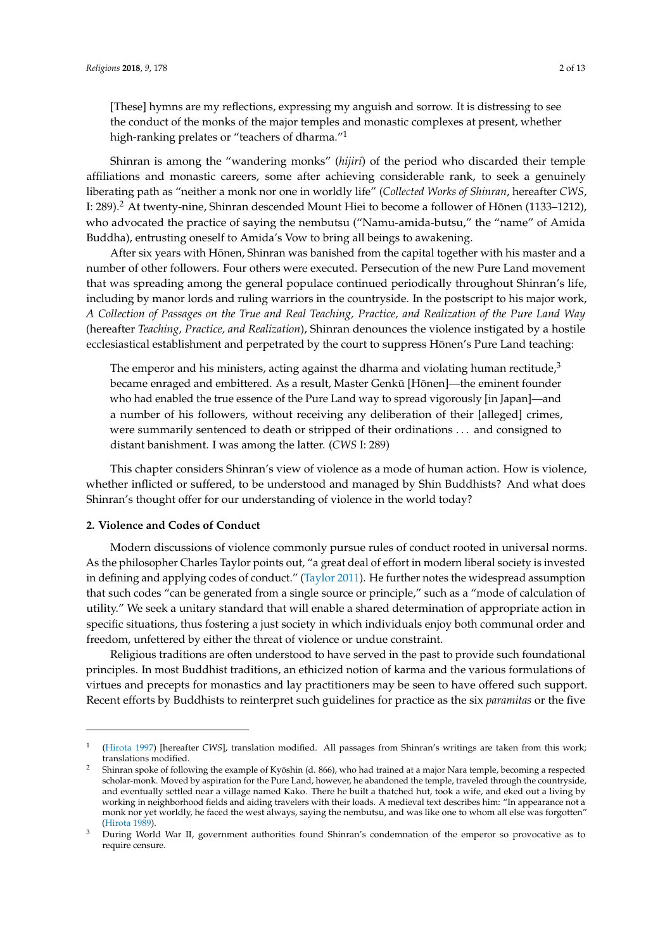[These] hymns are my reflections, expressing my anguish and sorrow. It is distressing to see the conduct of the monks of the major temples and monastic complexes at present, whether high-ranking prelates or "teachers of dharma."<sup>1</sup>

Shinran is among the "wandering monks" (*hijiri*) of the period who discarded their temple affiliations and monastic careers, some after achieving considerable rank, to seek a genuinely liberating path as "neither a monk nor one in worldly life" (*Collected Works of Shinran*, hereafter *CWS*, I: 289). $^2$  At twenty-nine, Shinran descended Mount Hiei to become a follower of Hōnen (1133–1212), who advocated the practice of saying the nembutsu ("Namu-amida-butsu," the "name" of Amida Buddha), entrusting oneself to Amida's Vow to bring all beings to awakening.

After six years with Hōnen, Shinran was banished from the capital together with his master and a number of other followers. Four others were executed. Persecution of the new Pure Land movement that was spreading among the general populace continued periodically throughout Shinran's life, including by manor lords and ruling warriors in the countryside. In the postscript to his major work, *A Collection of Passages on the True and Real Teaching, Practice, and Realization of the Pure Land Way* (hereafter *Teaching, Practice, and Realization*), Shinran denounces the violence instigated by a hostile ecclesiastical establishment and perpetrated by the court to suppress Hōnen's Pure Land teaching:

The emperor and his ministers, acting against the dharma and violating human rectitude, $3$ became enraged and embittered. As a result, Master Genkū [Hōnen]—the eminent founder who had enabled the true essence of the Pure Land way to spread vigorously [in Japan]—and a number of his followers, without receiving any deliberation of their [alleged] crimes, were summarily sentenced to death or stripped of their ordinations . . . and consigned to distant banishment. I was among the latter. (*CWS* I: 289)

This chapter considers Shinran's view of violence as a mode of human action. How is violence, whether inflicted or suffered, to be understood and managed by Shin Buddhists? And what does Shinran's thought offer for our understanding of violence in the world today?

#### **2. Violence and Codes of Conduct**

Modern discussions of violence commonly pursue rules of conduct rooted in universal norms. As the philosopher Charles Taylor points out, "a great deal of effort in modern liberal society is invested in defining and applying codes of conduct." [\(Taylor](#page-12-0) [2011\)](#page-12-0). He further notes the widespread assumption that such codes "can be generated from a single source or principle," such as a "mode of calculation of utility." We seek a unitary standard that will enable a shared determination of appropriate action in specific situations, thus fostering a just society in which individuals enjoy both communal order and freedom, unfettered by either the threat of violence or undue constraint.

Religious traditions are often understood to have served in the past to provide such foundational principles. In most Buddhist traditions, an ethicized notion of karma and the various formulations of virtues and precepts for monastics and lay practitioners may be seen to have offered such support. Recent efforts by Buddhists to reinterpret such guidelines for practice as the six *paramitas* or the five

<sup>1</sup> [\(Hirota](#page-12-1) [1997\)](#page-12-1) [hereafter *CWS*], translation modified. All passages from Shinran's writings are taken from this work; translations modified.

Shinran spoke of following the example of Kyōshin (d. 866), who had trained at a major Nara temple, becoming a respected scholar-monk. Moved by aspiration for the Pure Land, however, he abandoned the temple, traveled through the countryside, and eventually settled near a village named Kako. There he built a thatched hut, took a wife, and eked out a living by working in neighborhood fields and aiding travelers with their loads. A medieval text describes him: "In appearance not a monk nor yet worldly, he faced the west always, saying the nembutsu, and was like one to whom all else was forgotten" [\(Hirota](#page-12-2) [1989\)](#page-12-2).

<sup>3</sup> During World War II, government authorities found Shinran's condemnation of the emperor so provocative as to require censure.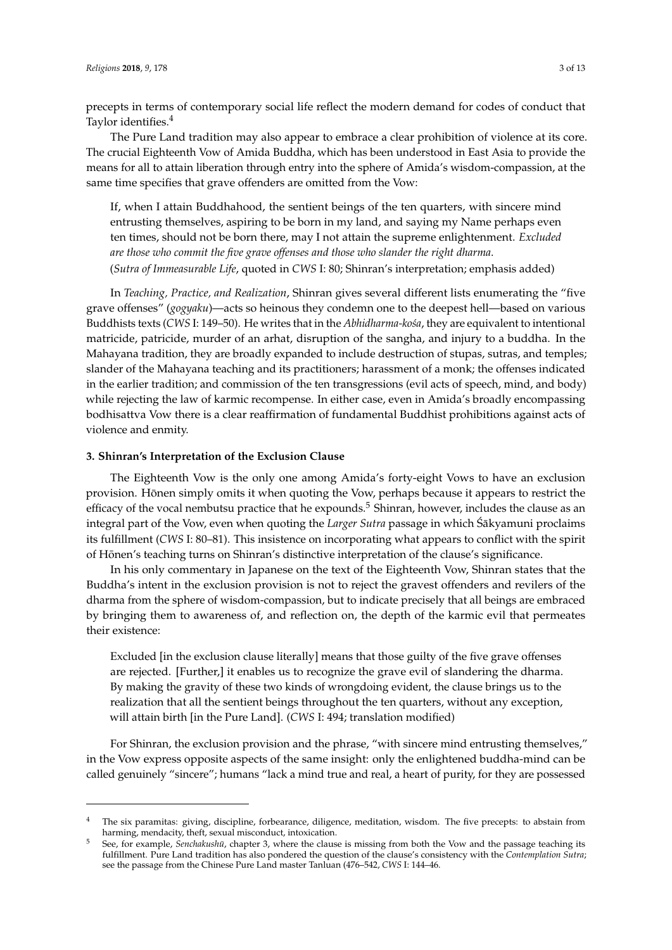precepts in terms of contemporary social life reflect the modern demand for codes of conduct that Taylor identifies.<sup>4</sup>

The Pure Land tradition may also appear to embrace a clear prohibition of violence at its core. The crucial Eighteenth Vow of Amida Buddha, which has been understood in East Asia to provide the means for all to attain liberation through entry into the sphere of Amida's wisdom-compassion, at the same time specifies that grave offenders are omitted from the Vow:

If, when I attain Buddhahood, the sentient beings of the ten quarters, with sincere mind entrusting themselves, aspiring to be born in my land, and saying my Name perhaps even ten times, should not be born there, may I not attain the supreme enlightenment. *Excluded are those who commit the five grave offenses and those who slander the right dharma*. (*Sutra of Immeasurable Life*, quoted in *CWS* I: 80; Shinran's interpretation; emphasis added)

In *Teaching, Practice, and Realization*, Shinran gives several different lists enumerating the "five grave offenses" (*gogyaku*)—acts so heinous they condemn one to the deepest hell—based on various Buddhists texts (*CWS* I: 149–50). He writes that in the *Abhidharma-koša*, they are equivalent to intentional matricide, patricide, murder of an arhat, disruption of the sangha, and injury to a buddha. In the Mahayana tradition, they are broadly expanded to include destruction of stupas, sutras, and temples; slander of the Mahayana teaching and its practitioners; harassment of a monk; the offenses indicated in the earlier tradition; and commission of the ten transgressions (evil acts of speech, mind, and body) while rejecting the law of karmic recompense. In either case, even in Amida's broadly encompassing bodhisattva Vow there is a clear reaffirmation of fundamental Buddhist prohibitions against acts of violence and enmity.

#### **3. Shinran's Interpretation of the Exclusion Clause**

The Eighteenth Vow is the only one among Amida's forty-eight Vows to have an exclusion provision. Honen simply omits it when quoting the Vow, perhaps because it appears to restrict the ¯ efficacy of the vocal nembutsu practice that he expounds.<sup>5</sup> Shinran, however, includes the clause as an integral part of the Vow, even when quoting the *Larger Sutra* passage in which Śākyamuni proclaims its fulfillment (*CWS* I: 80–81). This insistence on incorporating what appears to conflict with the spirit of Hōnen's teaching turns on Shinran's distinctive interpretation of the clause's significance.

In his only commentary in Japanese on the text of the Eighteenth Vow, Shinran states that the Buddha's intent in the exclusion provision is not to reject the gravest offenders and revilers of the dharma from the sphere of wisdom-compassion, but to indicate precisely that all beings are embraced by bringing them to awareness of, and reflection on, the depth of the karmic evil that permeates their existence:

Excluded [in the exclusion clause literally] means that those guilty of the five grave offenses are rejected. [Further,] it enables us to recognize the grave evil of slandering the dharma. By making the gravity of these two kinds of wrongdoing evident, the clause brings us to the realization that all the sentient beings throughout the ten quarters, without any exception, will attain birth [in the Pure Land]. (*CWS* I: 494; translation modified)

For Shinran, the exclusion provision and the phrase, "with sincere mind entrusting themselves," in the Vow express opposite aspects of the same insight: only the enlightened buddha-mind can be called genuinely "sincere"; humans "lack a mind true and real, a heart of purity, for they are possessed

<sup>4</sup> The six paramitas: giving, discipline, forbearance, diligence, meditation, wisdom. The five precepts: to abstain from harming, mendacity, theft, sexual misconduct, intoxication.

See, for example, *Senchakushū*, chapter 3, where the clause is missing from both the Vow and the passage teaching its fulfillment. Pure Land tradition has also pondered the question of the clause's consistency with the *Contemplation Sutra*; see the passage from the Chinese Pure Land master Tanluan (476–542, *CWS* I: 144–46.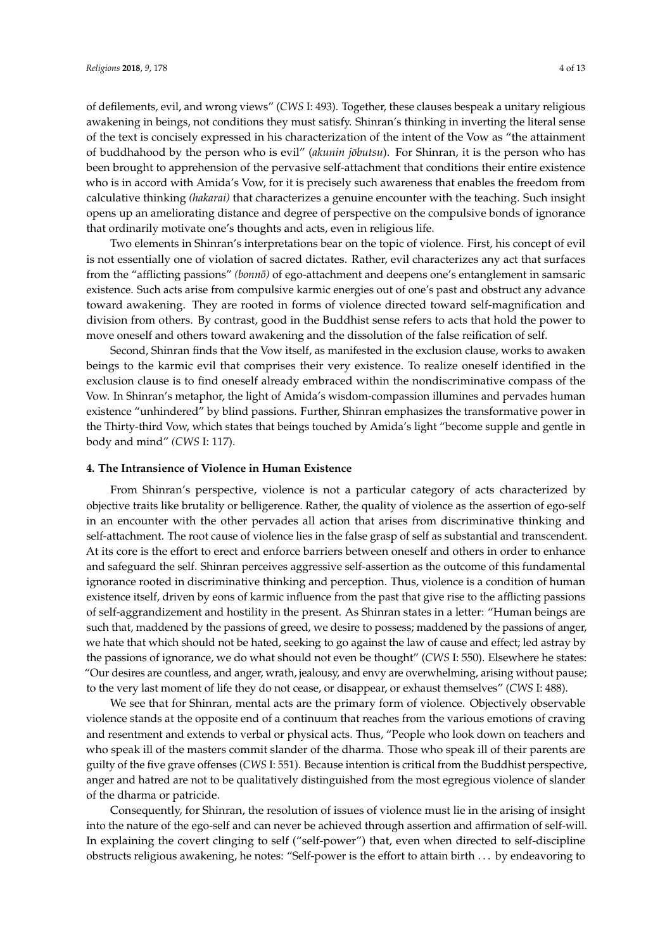of defilements, evil, and wrong views" (*CWS* I: 493). Together, these clauses bespeak a unitary religious awakening in beings, not conditions they must satisfy. Shinran's thinking in inverting the literal sense of the text is concisely expressed in his characterization of the intent of the Vow as "the attainment of buddhahood by the person who is evil" (*akunin jōbutsu*). For Shinran, it is the person who has been brought to apprehension of the pervasive self-attachment that conditions their entire existence who is in accord with Amida's Vow, for it is precisely such awareness that enables the freedom from calculative thinking *(hakarai)* that characterizes a genuine encounter with the teaching. Such insight opens up an ameliorating distance and degree of perspective on the compulsive bonds of ignorance that ordinarily motivate one's thoughts and acts, even in religious life.

Two elements in Shinran's interpretations bear on the topic of violence. First, his concept of evil is not essentially one of violation of sacred dictates. Rather, evil characterizes any act that surfaces from the "afflicting passions" *(bonno)* of ego-attachment and deepens one's entanglement in samsaric existence. Such acts arise from compulsive karmic energies out of one's past and obstruct any advance toward awakening. They are rooted in forms of violence directed toward self-magnification and division from others. By contrast, good in the Buddhist sense refers to acts that hold the power to move oneself and others toward awakening and the dissolution of the false reification of self.

Second, Shinran finds that the Vow itself, as manifested in the exclusion clause, works to awaken beings to the karmic evil that comprises their very existence. To realize oneself identified in the exclusion clause is to find oneself already embraced within the nondiscriminative compass of the Vow. In Shinran's metaphor, the light of Amida's wisdom-compassion illumines and pervades human existence "unhindered" by blind passions. Further, Shinran emphasizes the transformative power in the Thirty-third Vow, which states that beings touched by Amida's light "become supple and gentle in body and mind" *(CWS* I: 117).

#### **4. The Intransience of Violence in Human Existence**

From Shinran's perspective, violence is not a particular category of acts characterized by objective traits like brutality or belligerence. Rather, the quality of violence as the assertion of ego-self in an encounter with the other pervades all action that arises from discriminative thinking and self-attachment. The root cause of violence lies in the false grasp of self as substantial and transcendent. At its core is the effort to erect and enforce barriers between oneself and others in order to enhance and safeguard the self. Shinran perceives aggressive self-assertion as the outcome of this fundamental ignorance rooted in discriminative thinking and perception. Thus, violence is a condition of human existence itself, driven by eons of karmic influence from the past that give rise to the afflicting passions of self-aggrandizement and hostility in the present. As Shinran states in a letter: "Human beings are such that, maddened by the passions of greed, we desire to possess; maddened by the passions of anger, we hate that which should not be hated, seeking to go against the law of cause and effect; led astray by the passions of ignorance, we do what should not even be thought" (*CWS* I: 550). Elsewhere he states: "Our desires are countless, and anger, wrath, jealousy, and envy are overwhelming, arising without pause; to the very last moment of life they do not cease, or disappear, or exhaust themselves" (*CWS* I: 488).

We see that for Shinran, mental acts are the primary form of violence. Objectively observable violence stands at the opposite end of a continuum that reaches from the various emotions of craving and resentment and extends to verbal or physical acts. Thus, "People who look down on teachers and who speak ill of the masters commit slander of the dharma. Those who speak ill of their parents are guilty of the five grave offenses (*CWS* I: 551). Because intention is critical from the Buddhist perspective, anger and hatred are not to be qualitatively distinguished from the most egregious violence of slander of the dharma or patricide.

Consequently, for Shinran, the resolution of issues of violence must lie in the arising of insight into the nature of the ego-self and can never be achieved through assertion and affirmation of self-will. In explaining the covert clinging to self ("self-power") that, even when directed to self-discipline obstructs religious awakening, he notes: "Self-power is the effort to attain birth . . . by endeavoring to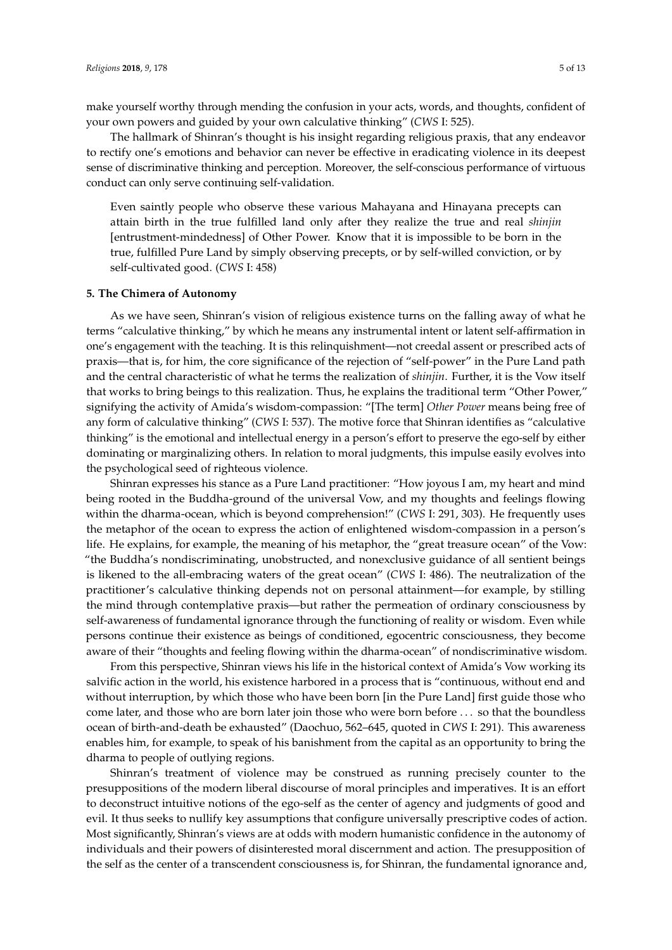The hallmark of Shinran's thought is his insight regarding religious praxis, that any endeavor to rectify one's emotions and behavior can never be effective in eradicating violence in its deepest sense of discriminative thinking and perception. Moreover, the self-conscious performance of virtuous conduct can only serve continuing self-validation.

Even saintly people who observe these various Mahayana and Hinayana precepts can attain birth in the true fulfilled land only after they realize the true and real *shinjin* [entrustment-mindedness] of Other Power. Know that it is impossible to be born in the true, fulfilled Pure Land by simply observing precepts, or by self-willed conviction, or by self-cultivated good. (*CWS* I: 458)

#### **5. The Chimera of Autonomy**

As we have seen, Shinran's vision of religious existence turns on the falling away of what he terms "calculative thinking," by which he means any instrumental intent or latent self-affirmation in one's engagement with the teaching. It is this relinquishment—not creedal assent or prescribed acts of praxis—that is, for him, the core significance of the rejection of "self-power" in the Pure Land path and the central characteristic of what he terms the realization of *shinjin*. Further, it is the Vow itself that works to bring beings to this realization. Thus, he explains the traditional term "Other Power," signifying the activity of Amida's wisdom-compassion: "[The term] *Other Power* means being free of any form of calculative thinking" (*CWS* I: 537). The motive force that Shinran identifies as "calculative thinking" is the emotional and intellectual energy in a person's effort to preserve the ego-self by either dominating or marginalizing others. In relation to moral judgments, this impulse easily evolves into the psychological seed of righteous violence.

Shinran expresses his stance as a Pure Land practitioner: "How joyous I am, my heart and mind being rooted in the Buddha-ground of the universal Vow, and my thoughts and feelings flowing within the dharma-ocean, which is beyond comprehension!" (*CWS* I: 291, 303). He frequently uses the metaphor of the ocean to express the action of enlightened wisdom-compassion in a person's life. He explains, for example, the meaning of his metaphor, the "great treasure ocean" of the Vow: "the Buddha's nondiscriminating, unobstructed, and nonexclusive guidance of all sentient beings is likened to the all-embracing waters of the great ocean" (*CWS* I: 486). The neutralization of the practitioner's calculative thinking depends not on personal attainment—for example, by stilling the mind through contemplative praxis—but rather the permeation of ordinary consciousness by self-awareness of fundamental ignorance through the functioning of reality or wisdom. Even while persons continue their existence as beings of conditioned, egocentric consciousness, they become aware of their "thoughts and feeling flowing within the dharma-ocean" of nondiscriminative wisdom.

From this perspective, Shinran views his life in the historical context of Amida's Vow working its salvific action in the world, his existence harbored in a process that is "continuous, without end and without interruption, by which those who have been born [in the Pure Land] first guide those who come later, and those who are born later join those who were born before . . . so that the boundless ocean of birth-and-death be exhausted" (Daochuo, 562–645, quoted in *CWS* I: 291). This awareness enables him, for example, to speak of his banishment from the capital as an opportunity to bring the dharma to people of outlying regions.

Shinran's treatment of violence may be construed as running precisely counter to the presuppositions of the modern liberal discourse of moral principles and imperatives. It is an effort to deconstruct intuitive notions of the ego-self as the center of agency and judgments of good and evil. It thus seeks to nullify key assumptions that configure universally prescriptive codes of action. Most significantly, Shinran's views are at odds with modern humanistic confidence in the autonomy of individuals and their powers of disinterested moral discernment and action. The presupposition of the self as the center of a transcendent consciousness is, for Shinran, the fundamental ignorance and,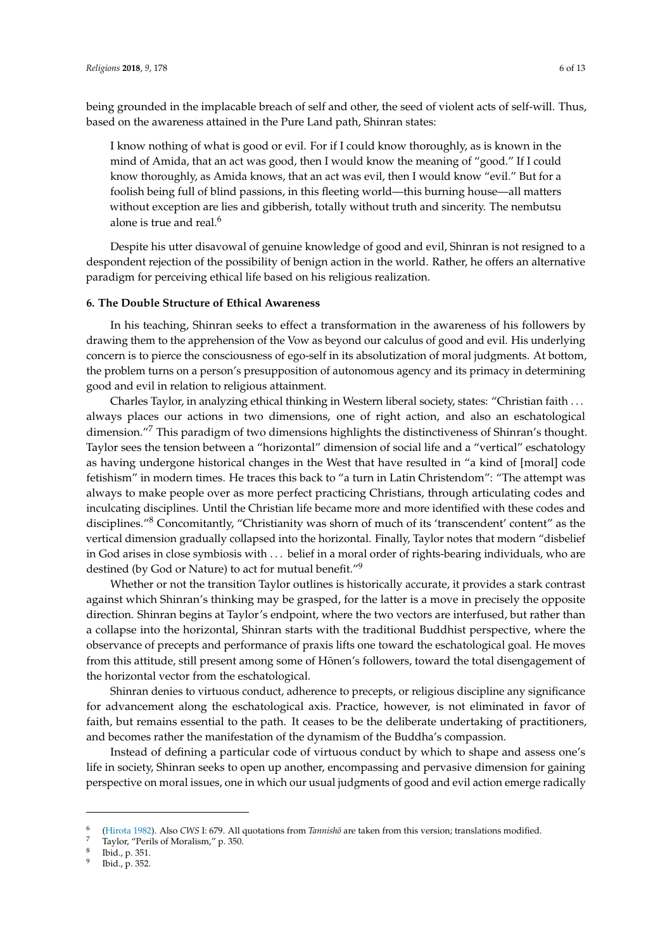being grounded in the implacable breach of self and other, the seed of violent acts of self-will. Thus, based on the awareness attained in the Pure Land path, Shinran states:

I know nothing of what is good or evil. For if I could know thoroughly, as is known in the mind of Amida, that an act was good, then I would know the meaning of "good." If I could know thoroughly, as Amida knows, that an act was evil, then I would know "evil." But for a foolish being full of blind passions, in this fleeting world—this burning house—all matters without exception are lies and gibberish, totally without truth and sincerity. The nembutsu alone is true and real. $6$ 

Despite his utter disavowal of genuine knowledge of good and evil, Shinran is not resigned to a despondent rejection of the possibility of benign action in the world. Rather, he offers an alternative paradigm for perceiving ethical life based on his religious realization.

#### **6. The Double Structure of Ethical Awareness**

In his teaching, Shinran seeks to effect a transformation in the awareness of his followers by drawing them to the apprehension of the Vow as beyond our calculus of good and evil. His underlying concern is to pierce the consciousness of ego-self in its absolutization of moral judgments. At bottom, the problem turns on a person's presupposition of autonomous agency and its primacy in determining good and evil in relation to religious attainment.

Charles Taylor, in analyzing ethical thinking in Western liberal society, states: "Christian faith . . . always places our actions in two dimensions, one of right action, and also an eschatological dimension."<sup>7</sup> This paradigm of two dimensions highlights the distinctiveness of Shinran's thought. Taylor sees the tension between a "horizontal" dimension of social life and a "vertical" eschatology as having undergone historical changes in the West that have resulted in "a kind of [moral] code fetishism" in modern times. He traces this back to "a turn in Latin Christendom": "The attempt was always to make people over as more perfect practicing Christians, through articulating codes and inculcating disciplines. Until the Christian life became more and more identified with these codes and disciplines."<sup>8</sup> Concomitantly, "Christianity was shorn of much of its 'transcendent' content" as the vertical dimension gradually collapsed into the horizontal. Finally, Taylor notes that modern "disbelief in God arises in close symbiosis with . . . belief in a moral order of rights-bearing individuals, who are destined (by God or Nature) to act for mutual benefit."<sup>9</sup>

Whether or not the transition Taylor outlines is historically accurate, it provides a stark contrast against which Shinran's thinking may be grasped, for the latter is a move in precisely the opposite direction. Shinran begins at Taylor's endpoint, where the two vectors are interfused, but rather than a collapse into the horizontal, Shinran starts with the traditional Buddhist perspective, where the observance of precepts and performance of praxis lifts one toward the eschatological goal. He moves from this attitude, still present among some of Hōnen's followers, toward the total disengagement of the horizontal vector from the eschatological.

Shinran denies to virtuous conduct, adherence to precepts, or religious discipline any significance for advancement along the eschatological axis. Practice, however, is not eliminated in favor of faith, but remains essential to the path. It ceases to be the deliberate undertaking of practitioners, and becomes rather the manifestation of the dynamism of the Buddha's compassion.

Instead of defining a particular code of virtuous conduct by which to shape and assess one's life in society, Shinran seeks to open up another, encompassing and pervasive dimension for gaining perspective on moral issues, one in which our usual judgments of good and evil action emerge radically

<sup>6</sup> [\(Hirota](#page-12-3) [1982\)](#page-12-3). Also *CWS* I: 679. All quotations from *Tannisho¯* are taken from this version; translations modified.

<sup>7</sup> Taylor, "Perils of Moralism," p. 350.

<sup>8</sup> Ibid., p. 351.

<sup>9</sup> Ibid., p. 352.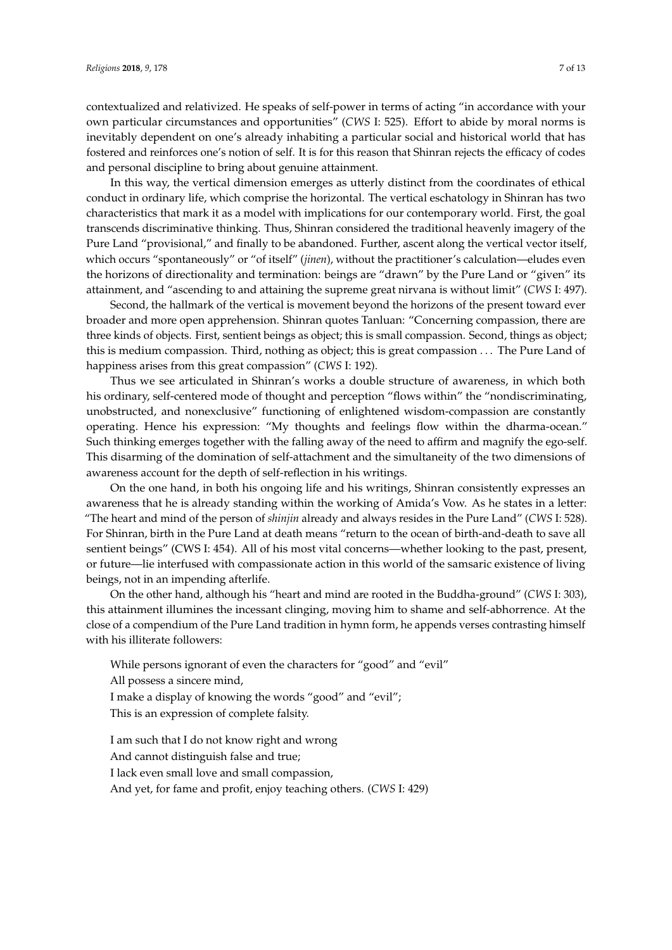contextualized and relativized. He speaks of self-power in terms of acting "in accordance with your own particular circumstances and opportunities" (*CWS* I: 525). Effort to abide by moral norms is inevitably dependent on one's already inhabiting a particular social and historical world that has fostered and reinforces one's notion of self. It is for this reason that Shinran rejects the efficacy of codes and personal discipline to bring about genuine attainment.

In this way, the vertical dimension emerges as utterly distinct from the coordinates of ethical conduct in ordinary life, which comprise the horizontal. The vertical eschatology in Shinran has two characteristics that mark it as a model with implications for our contemporary world. First, the goal transcends discriminative thinking. Thus, Shinran considered the traditional heavenly imagery of the Pure Land "provisional," and finally to be abandoned. Further, ascent along the vertical vector itself, which occurs "spontaneously" or "of itself" (*jinen*), without the practitioner's calculation—eludes even the horizons of directionality and termination: beings are "drawn" by the Pure Land or "given" its attainment, and "ascending to and attaining the supreme great nirvana is without limit" (*CWS* I: 497).

Second, the hallmark of the vertical is movement beyond the horizons of the present toward ever broader and more open apprehension. Shinran quotes Tanluan: "Concerning compassion, there are three kinds of objects. First, sentient beings as object; this is small compassion. Second, things as object; this is medium compassion. Third, nothing as object; this is great compassion . . . The Pure Land of happiness arises from this great compassion" (*CWS* I: 192).

Thus we see articulated in Shinran's works a double structure of awareness, in which both his ordinary, self-centered mode of thought and perception "flows within" the "nondiscriminating, unobstructed, and nonexclusive" functioning of enlightened wisdom-compassion are constantly operating. Hence his expression: "My thoughts and feelings flow within the dharma-ocean." Such thinking emerges together with the falling away of the need to affirm and magnify the ego-self. This disarming of the domination of self-attachment and the simultaneity of the two dimensions of awareness account for the depth of self-reflection in his writings.

On the one hand, in both his ongoing life and his writings, Shinran consistently expresses an awareness that he is already standing within the working of Amida's Vow. As he states in a letter: "The heart and mind of the person of *shinjin* already and always resides in the Pure Land" (*CWS* I: 528). For Shinran, birth in the Pure Land at death means "return to the ocean of birth-and-death to save all sentient beings" (CWS I: 454). All of his most vital concerns—whether looking to the past, present, or future—lie interfused with compassionate action in this world of the samsaric existence of living beings, not in an impending afterlife.

On the other hand, although his "heart and mind are rooted in the Buddha-ground" (*CWS* I: 303), this attainment illumines the incessant clinging, moving him to shame and self-abhorrence. At the close of a compendium of the Pure Land tradition in hymn form, he appends verses contrasting himself with his illiterate followers:

While persons ignorant of even the characters for "good" and "evil" All possess a sincere mind, I make a display of knowing the words "good" and "evil";

This is an expression of complete falsity.

I am such that I do not know right and wrong And cannot distinguish false and true; I lack even small love and small compassion,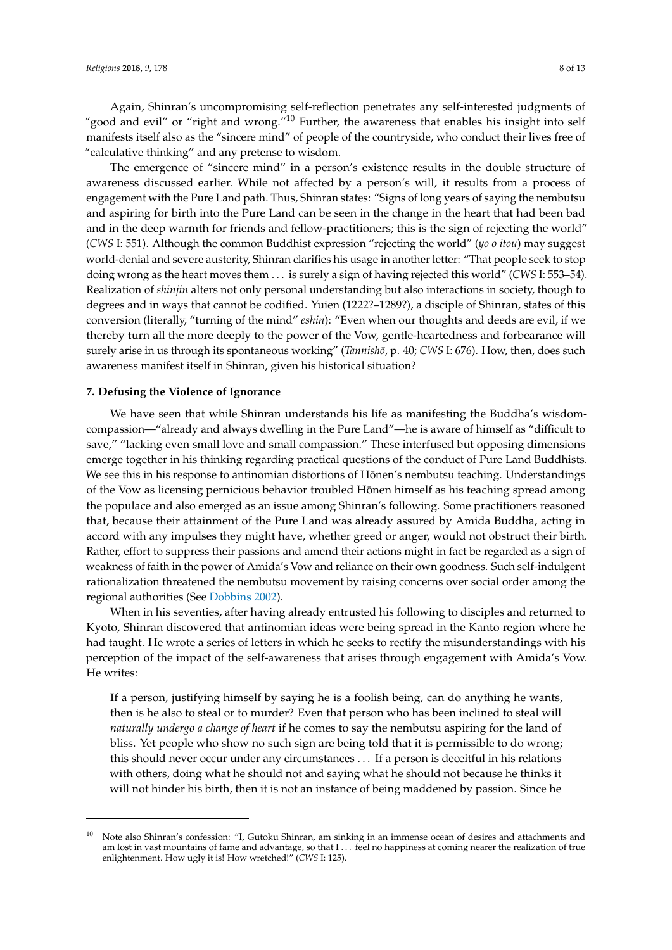Again, Shinran's uncompromising self-reflection penetrates any self-interested judgments of "good and evil" or "right and wrong." $10$  Further, the awareness that enables his insight into self manifests itself also as the "sincere mind" of people of the countryside, who conduct their lives free of "calculative thinking" and any pretense to wisdom.

The emergence of "sincere mind" in a person's existence results in the double structure of awareness discussed earlier. While not affected by a person's will, it results from a process of engagement with the Pure Land path. Thus, Shinran states: "Signs of long years of saying the nembutsu and aspiring for birth into the Pure Land can be seen in the change in the heart that had been bad and in the deep warmth for friends and fellow-practitioners; this is the sign of rejecting the world" (*CWS* I: 551). Although the common Buddhist expression "rejecting the world" (*yo o itou*) may suggest world-denial and severe austerity, Shinran clarifies his usage in another letter: "That people seek to stop doing wrong as the heart moves them . . . is surely a sign of having rejected this world" (*CWS* I: 553–54). Realization of *shinjin* alters not only personal understanding but also interactions in society, though to degrees and in ways that cannot be codified. Yuien (1222?–1289?), a disciple of Shinran, states of this conversion (literally, "turning of the mind" *eshin*): "Even when our thoughts and deeds are evil, if we thereby turn all the more deeply to the power of the Vow, gentle-heartedness and forbearance will surely arise in us through its spontaneous working" (*Tannishō*, p. 40; *CWS* I: 676). How, then, does such awareness manifest itself in Shinran, given his historical situation?

#### **7. Defusing the Violence of Ignorance**

We have seen that while Shinran understands his life as manifesting the Buddha's wisdomcompassion—"already and always dwelling in the Pure Land"—he is aware of himself as "difficult to save," "lacking even small love and small compassion." These interfused but opposing dimensions emerge together in his thinking regarding practical questions of the conduct of Pure Land Buddhists. We see this in his response to antinomian distortions of Hōnen's nembutsu teaching. Understandings of the Vow as licensing pernicious behavior troubled Hōnen himself as his teaching spread among the populace and also emerged as an issue among Shinran's following. Some practitioners reasoned that, because their attainment of the Pure Land was already assured by Amida Buddha, acting in accord with any impulses they might have, whether greed or anger, would not obstruct their birth. Rather, effort to suppress their passions and amend their actions might in fact be regarded as a sign of weakness of faith in the power of Amida's Vow and reliance on their own goodness. Such self-indulgent rationalization threatened the nembutsu movement by raising concerns over social order among the regional authorities (See [Dobbins](#page-12-4) [2002\)](#page-12-4).

When in his seventies, after having already entrusted his following to disciples and returned to Kyoto, Shinran discovered that antinomian ideas were being spread in the Kanto region where he had taught. He wrote a series of letters in which he seeks to rectify the misunderstandings with his perception of the impact of the self-awareness that arises through engagement with Amida's Vow. He writes:

If a person, justifying himself by saying he is a foolish being, can do anything he wants, then is he also to steal or to murder? Even that person who has been inclined to steal will *naturally undergo a change of heart* if he comes to say the nembutsu aspiring for the land of bliss. Yet people who show no such sign are being told that it is permissible to do wrong; this should never occur under any circumstances . . . If a person is deceitful in his relations with others, doing what he should not and saying what he should not because he thinks it will not hinder his birth, then it is not an instance of being maddened by passion. Since he

<sup>10</sup> Note also Shinran's confession: "I, Gutoku Shinran, am sinking in an immense ocean of desires and attachments and am lost in vast mountains of fame and advantage, so that I ... feel no happiness at coming nearer the realization of true enlightenment. How ugly it is! How wretched!" (*CWS* I: 125).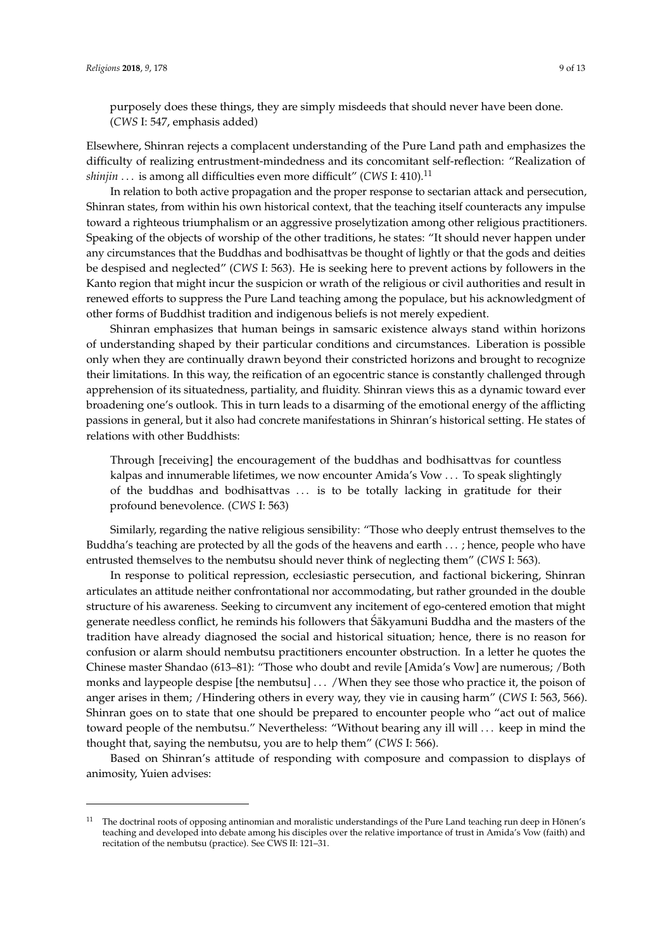purposely does these things, they are simply misdeeds that should never have been done. (*CWS* I: 547, emphasis added)

Elsewhere, Shinran rejects a complacent understanding of the Pure Land path and emphasizes the difficulty of realizing entrustment-mindedness and its concomitant self-reflection: "Realization of *shinjin* ... is among all difficulties even more difficult" (*CWS* I: 410).<sup>11</sup>

In relation to both active propagation and the proper response to sectarian attack and persecution, Shinran states, from within his own historical context, that the teaching itself counteracts any impulse toward a righteous triumphalism or an aggressive proselytization among other religious practitioners. Speaking of the objects of worship of the other traditions, he states: "It should never happen under any circumstances that the Buddhas and bodhisattvas be thought of lightly or that the gods and deities be despised and neglected" (*CWS* I: 563). He is seeking here to prevent actions by followers in the Kanto region that might incur the suspicion or wrath of the religious or civil authorities and result in renewed efforts to suppress the Pure Land teaching among the populace, but his acknowledgment of other forms of Buddhist tradition and indigenous beliefs is not merely expedient.

Shinran emphasizes that human beings in samsaric existence always stand within horizons of understanding shaped by their particular conditions and circumstances. Liberation is possible only when they are continually drawn beyond their constricted horizons and brought to recognize their limitations. In this way, the reification of an egocentric stance is constantly challenged through apprehension of its situatedness, partiality, and fluidity. Shinran views this as a dynamic toward ever broadening one's outlook. This in turn leads to a disarming of the emotional energy of the afflicting passions in general, but it also had concrete manifestations in Shinran's historical setting. He states of relations with other Buddhists:

Through [receiving] the encouragement of the buddhas and bodhisattvas for countless kalpas and innumerable lifetimes, we now encounter Amida's Vow . . . To speak slightingly of the buddhas and bodhisattvas . . . is to be totally lacking in gratitude for their profound benevolence. (*CWS* I: 563)

Similarly, regarding the native religious sensibility: "Those who deeply entrust themselves to the Buddha's teaching are protected by all the gods of the heavens and earth . . . ; hence, people who have entrusted themselves to the nembutsu should never think of neglecting them" (*CWS* I: 563).

In response to political repression, ecclesiastic persecution, and factional bickering, Shinran articulates an attitude neither confrontational nor accommodating, but rather grounded in the double structure of his awareness. Seeking to circumvent any incitement of ego-centered emotion that might generate needless conflict, he reminds his followers that Sakyamuni Buddha and the masters of the tradition have already diagnosed the social and historical situation; hence, there is no reason for confusion or alarm should nembutsu practitioners encounter obstruction. In a letter he quotes the Chinese master Shandao (613–81): "Those who doubt and revile [Amida's Vow] are numerous; /Both monks and laypeople despise [the nembutsu] . . . /When they see those who practice it, the poison of anger arises in them; /Hindering others in every way, they vie in causing harm" (*CWS* I: 563, 566). Shinran goes on to state that one should be prepared to encounter people who "act out of malice toward people of the nembutsu." Nevertheless: "Without bearing any ill will . . . keep in mind the thought that, saying the nembutsu, you are to help them" (*CWS* I: 566).

Based on Shinran's attitude of responding with composure and compassion to displays of animosity, Yuien advises:

The doctrinal roots of opposing antinomian and moralistic understandings of the Pure Land teaching run deep in Hōnen's teaching and developed into debate among his disciples over the relative importance of trust in Amida's Vow (faith) and recitation of the nembutsu (practice). See CWS II: 121–31.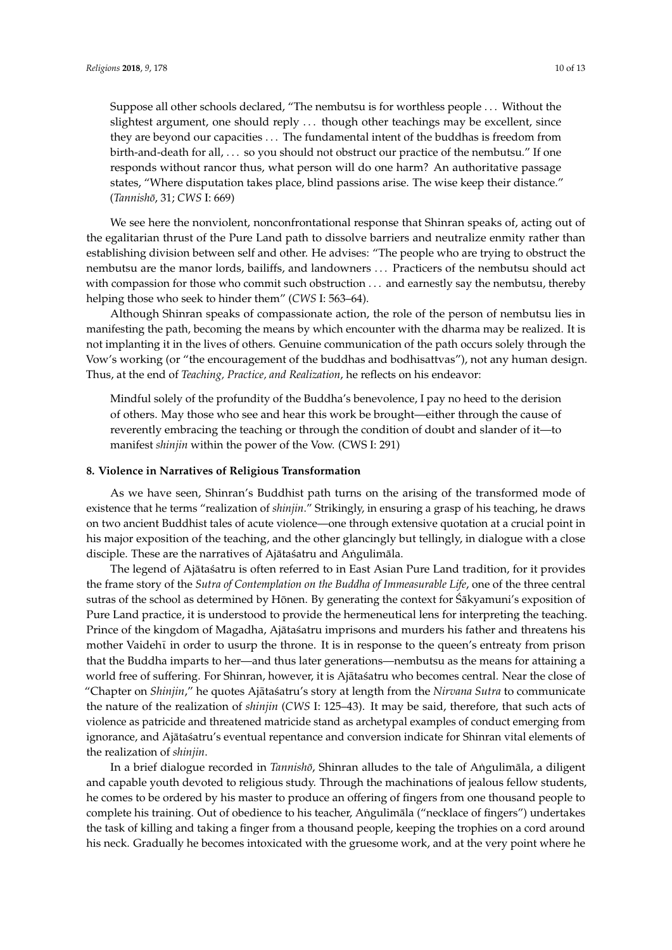Suppose all other schools declared, "The nembutsu is for worthless people . . . Without the slightest argument, one should reply . . . though other teachings may be excellent, since they are beyond our capacities . . . The fundamental intent of the buddhas is freedom from birth-and-death for all, . . . so you should not obstruct our practice of the nembutsu." If one responds without rancor thus, what person will do one harm? An authoritative passage states, "Where disputation takes place, blind passions arise. The wise keep their distance." (*Tannisho¯*, 31; *CWS* I: 669)

We see here the nonviolent, nonconfrontational response that Shinran speaks of, acting out of the egalitarian thrust of the Pure Land path to dissolve barriers and neutralize enmity rather than establishing division between self and other. He advises: "The people who are trying to obstruct the nembutsu are the manor lords, bailiffs, and landowners . . . Practicers of the nembutsu should act with compassion for those who commit such obstruction . . . and earnestly say the nembutsu, thereby with compassion for those who commit such obstruction … and earnestly say the nembutsu, thereby helping those who seek to hinder them" (*CWS* I: 563–64). helping those who seek to hinder them" (*CWS* I: 563–64).

Although Shinran speaks of compassionate action, the role of the person of nembutsu lies in Although Shinran speaks of compassionate action, the role of the person of nembutsu lies in manifesting the path, becoming the means by which encounter with the dharma may be realized. It is manifesting the path, becoming the means by which encounter with the dharma may be realized. It not implanting it in the lives of others. Genuine communication of the path occurs solely through the Vow's working (or "the encouragement of the buddhas and bodhisattvas"), not any human design. Thus, at the end of *Teaching, Practice, and Realization*, he reflects on his endeavor: design. Thus, at the end of *Teaching, Practice, and Realization*, he reflects on his endeavor:

Mindful solely of the profundity of the Buddha's benevolence, I pay no heed to the derision Mindful solely of the profundity of the Buddha's benevolence, I pay no heed to the of others. May those who see and hear this work be brought—either through the cause of reverently embracing the teaching or through the condition of doubt and slander of it-to manifest *shinjin* within the power of the Vow. (CWS I: 291)

### **8. Violence in Narratives of Religious Transformation 8. Violence in Narratives of Religious Transformation**

As we have seen, Shinran's Buddhist path turns on the arising of the transformed mode of As we have seen, Shinran's Buddhist path turns on the arising of the transformed mode of existence that he terms "realization of *shinjin*." Strikingly, in ensuring a grasp of his teaching, he draws existence that he terms "realization of *shinjin*." Strikingly, in ensuring a grasp of his teaching, he on two ancient Buddhist tales of acute violence—one through extensive quotation at a crucial point in his major exposition of the teaching, and the other glancingly but tellingly, in dialogue with a close disciple. These are the narratives of Ajātaśatru and Aṅgulimāla.

The legend of Ajātaśatru is often referred to in East Asian Pure Land tradition, for it provides the frame story of the Sutra of Contemplation on the Buddha of Immeasurable Life, one of the three central sutras of the school as determined by Hōnen. By generating the context for Śākyamuni's exposition of Pure Land practice, it is understood to provide the hermeneutical lens for interpreting the teaching. Prince of the kingdom of Magadha, Ajātaśatru imprisons and murders his father and threatens his mother Vaidehī in order to usurp the throne. It is in response to the queen's entreaty from prison that the Buddha imparts to her—and thus later generations—nembutsu as the means for attaining a world free of suffering. For Shinran, however, it is Ajātaśatru who becomes central. Near the close of "Chapter on *Shinjin,*" he quotes Ajātaśatru's story at length from the Nirvana Sutra to communicate the nature of the realization of *shinjin* (CWS I: 125–43). It may be said, therefore, that such acts of violence as patricide and threatened matricide stand as archetypal examples of conduct emerging from ignorance, and Ajātaśatru's eventual repentance and conversion indicate for Shinran vital elements of the realization of *shinjin*.

In a brief dialogue recorded in *Tannishō,* Shinran alludes to the tale of Aṅgulimāla, a diligent and capable youth devoted to religious study. Through the machinations of jealous fellow students, and capable youth devoted to religious study. Through the machinations of jealous fellow students, he comes to be ordered by his master to produce an offering of fingers from one thousand people to he comes to be ordered by his master to produce an offering of fingers from one thousand people to complete his training. Out of obedience to his teacher, Aṅgulimāla ("necklace of fingers") complete his training. Out of obedience to his teacher, Angulim ˙ ala ("necklace of fingers") undertakes ¯ the task of killing and taking a finger from a thousand people, keeping the trophies on a cord around his neck. Gradually he becomes intoxicated with the gruesome work, and at the very point where he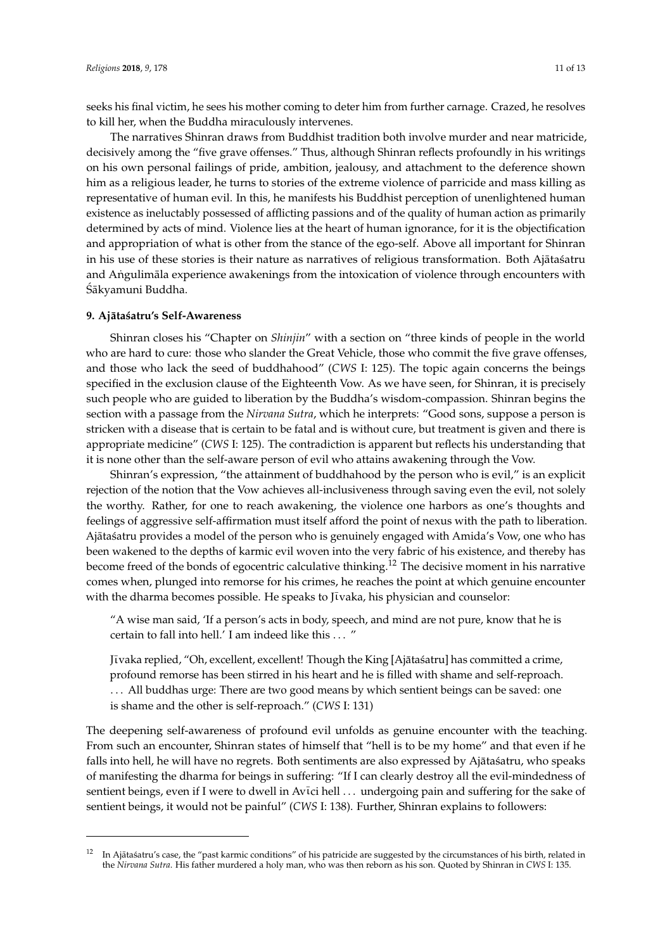seeks his final victim, he sees his mother coming to deter him from further carnage. Crazed, he resolves to kill her, when the Buddha miraculously intervenes.

The narratives Shinran draws from Buddhist tradition both involve murder and near matricide, decisively among the "five grave offenses." Thus, although Shinran reflects profoundly in his writings on his own personal failings of pride, ambition, jealousy, and attachment to the deference shown him as a religious leader, he turns to stories of the extreme violence of parricide and mass killing as representative of human evil. In this, he manifests his Buddhist perception of unenlightened human *Religions as ineluctably possessed of afflicting passions and of the quality of human action as primarily* determined by acts of mind. Violence lies at the heart of human ignorance, for it is the objectification who compassion is the new commitand appropriation of what is other from the stance of the ego-self. Above all important for Shinran<br>help those who seek to hinder them in the manner them in the manner of them is the manner of them is the manner in his use of these stories is their nature as narratives of religious transformation. Both Ajātaśatru james s<br>Although Shinran speaks of the person of the person of the person of the person of the person of the person of and Angulimāla experience awakenings from the intoxication of violence through encounters with<br>Écl Sākyamuni Buddha.  $i$ s not implanting it in the lives of others. Genuine communication of the path occurs solution of the path occurs solution of the path occurs solution of the path occurs solution of the path occurs solution of the path and Apoulimals experience awakenings from the intoxication of violence  $w_i$ <sub>th</sub> comparison for the nembutsu, the nembutsu, the nembutsu, the nembutsu, thereby say the nembutsu, thereby say the next such a set of  $w_i$ 

#### 9. Ajātaśatru's Self-Awareness  $t<sub>1</sub>$  the voltagement of the encouragement of the buddhas and body  $t<sub>2</sub>$  and body  $t<sub>3</sub>$  and  $t<sub>4</sub>$

Shinran closes his "Chapter on *Shinjin*" with a section on "three kinds of people in the world who are hard to cure: those who slander the Great Vehicle, those who commit the five grave offenses, and those who lack the seed of buddhahood" (*CWS* I: 125). The topic again concerns the beings specified in the exclusion clause of the Eighteenth Vow. As we have seen, for Shinran, it is precisely such people who are guided to liberation by the Buddha's wisdom-compassion. Shinran begins the section with a passage from the Nirvana Sutra, which he interprets: "Good sons, suppose a person is stricken with a disease that is certain to be fatal and is without cure, but treatment is given and there is appropriate medicine" (CWS I: 125). The contradiction is apparent but reflects his understanding that it is none other than the self-aware person of evil who attains awakening through the Vow.  $\alpha$  shinran speaks of compassionate action, the role of the person of nembutsu lies in  $\alpha$ manifesting the path, but which will a security of the King who are hard to cure. Gose who stander the Great ventue, those who comand those who fact the seed of buddhashood  $(CVU)$ . 1.25), the topic a design. Thus, at the exclusion clause of the eigeneemic vow. As we

Shinran's expression, "the attainment of buddhahood by the person who is evil," is an explicit rejection of the notion that the Vow achieves all-inclusiveness through saving even the evil, not solely the worthy. Rather, for one to reach awakening, the violence one harbors as one's thoughts and feelings of aggressive self-affirmation must itself afford the point of nexus with the path to liberation. Ajātaśatru provides a model of the person who is genuinely engaged with Amida's Vow, one who has been wakened to the depths of karmic evil woven into the very fabric of his existence, and thereby has become freed of the bonds of egocentric calculative thinking.<sup>12</sup> The decisive moment in his narrative comes when, plunged into remorse for his crimes, he reaches the point at which genuine encounter with the dharma becomes possible. He speaks to Jīvaka, his physician and counselor:  $\mathcal{L}_{\text{max}}$  of the profit who is generately engaged what finded s vow, one who has dering of same can woven the deriverse of the existence, and thereby his re voices of egoceratic calculative thuisting. The decisive from the management

"A wise man said, 'If a person's acts in body, speech, and mind are not pure, know that he is certain to fall into hell.' I am indeed like this ... " central. Near the close of the quotes  $\ldots$  $\overline{\text{A}}$  music seen, Shinran's Buddhist path turns on the arising of the transformed mode of the transformed mode of the transformed mode of the transformed mode of the transformed mode of the transformed mode of the tr

Jīvaka replied, "Oh, excellent, excellent! Though the King [Ajātaśatru] has committed a crime, profound remorse has been stirred in his heart and he is filled with shame and self-reproach. ... All buddhas urge: There are two good means by which sentient beings can be saved: one is shame and the other is self-reproach."  $(CWS I: 131)$  $\mathbf{I}$  at a single to in East Asian Pure Land tradition, for it provides  $\mathbf{I}$ 

The deepening self-awareness of profound evil unfolds as genuine encounter with the teaching. From such an encounter, Shinran states of himself that "hell is to be my home" and that even if he falls into hell, he will have no regrets. Both sentiments are also expressed by Ajātaśatru, who speaks of manifesting the dharma for beings in suffering: "If I can clearly destroy all the evil-mindedness of sentient beings, even if I were to dwell in Avici hell ... undergoing pain and suffering for the sake of sentient beings, it would not be painful" (CWS I: 138). Further, Shinran explains to followers: *Nirvana Sutra* to communicate the nature of the realization of *shinjin* (*CWS* I: 125–43). It may be said,

The narratives Shinran draws from Buddhist tradition both involve murder and near matricide,

central. Near the close of "Chapter on *Shinjin*," he quotes Ajātaśatru's story at length from the

<sup>&</sup>lt;sup>12</sup> In Ajātaśatru's case, the "past karmic conditions" of his patricide are suggested by the circumstances of his birth, related in the *Nirvana Sutra*. His father murdered a holy man, who was then reborn as his son. Quoted by Shinran in CWS I: 135. point where he seeks his final victim, he seeks his final victim, he seed to deter him for the seed of the seed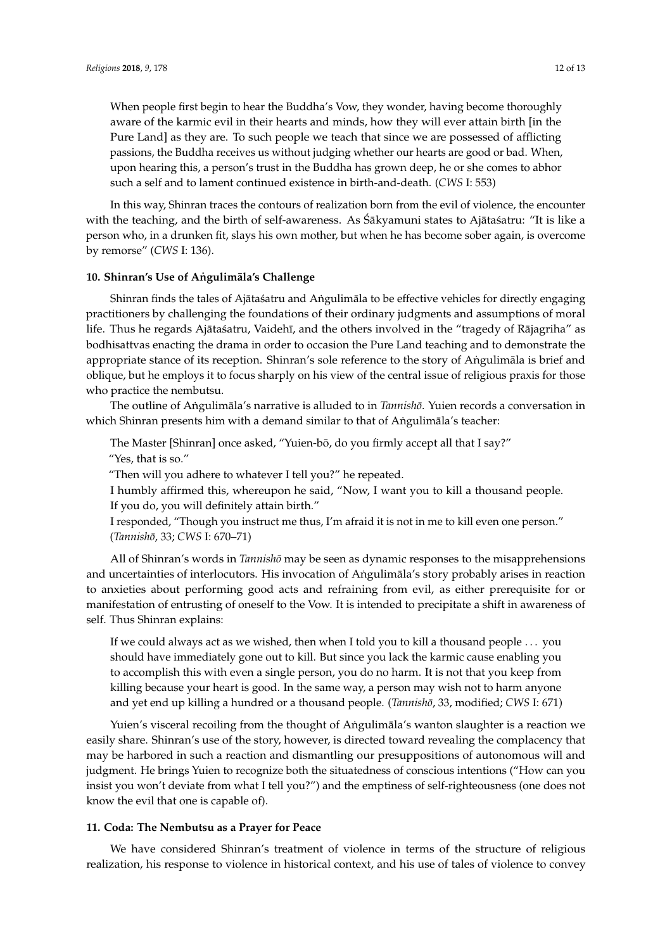When people first begin to hear the Buddha's Vow, they wonder, having become thoroughly aware of the karmic evil in their hearts and minds, how they will ever attain birth [in the Pure Land] as they are. To such people we teach that since we are possessed of afflicting passions, the Buddha receives us without judging whether our hearts are good or bad. When, upon hearing this, a person's trust in the Buddha has grown deep, he or she comes to abhor such a self and to lament continued existence in birth-and-death. (*CWS* I: 553)

In this way, Shinran traces the contours of realization born from the evil of violence, the encounter with the teaching, and the birth of self-awareness. As Sakyamuni states to Ajatasatru: "It is like a person who, in a drunken fit, slays his own mother, but when he has become sober again, is overcome by remorse" (*CWS* I: 136).

#### **10. Shinran's Use of Angulimala's Challenge**

Shinran finds the tales of Ajātas´atru and Angulim āla to be effective vehicles for directly engaging practitioners by challenging the foundations of their ordinary judgments and assumptions of moral life. Thus he regards Ajātas´atru, Vaidehī, and the others involved in the "tragedy of Rājagriha" as bodhisattvas enacting the drama in order to occasion the Pure Land teaching and to demonstrate the appropriate stance of its reception. Shinran's sole reference to the story of Angulimala is brief and oblique, but he employs it to focus sharply on his view of the central issue of religious praxis for those who practice the nembutsu.

The outline of Angulimala's narrative is alluded to in *Tannisho*. Yuien records a conversation in which Shinran presents him with a demand similar to that of Angulimala's teacher:

The Master [Shinran] once asked, "Yuien-bō, do you firmly accept all that I say?"

"Yes, that is so."

"Then will you adhere to whatever I tell you?" he repeated.

I humbly affirmed this, whereupon he said, "Now, I want you to kill a thousand people. If you do, you will definitely attain birth."

I responded, "Though you instruct me thus, I'm afraid it is not in me to kill even one person." (*Tannisho¯*, 33; *CWS* I: 670–71)

All of Shinran's words in *Tannishō* may be seen as dynamic responses to the misapprehensions and uncertainties of interlocutors. His invocation of Angulimala's story probably arises in reaction to anxieties about performing good acts and refraining from evil, as either prerequisite for or manifestation of entrusting of oneself to the Vow. It is intended to precipitate a shift in awareness of self. Thus Shinran explains:

If we could always act as we wished, then when I told you to kill a thousand people . . . you should have immediately gone out to kill. But since you lack the karmic cause enabling you to accomplish this with even a single person, you do no harm. It is not that you keep from killing because your heart is good. In the same way, a person may wish not to harm anyone and yet end up killing a hundred or a thousand people. (*Tannishō*, 33, modified; *CWS* I: 671)

Yuien's visceral recoiling from the thought of Angulimala's wanton slaughter is a reaction we easily share. Shinran's use of the story, however, is directed toward revealing the complacency that may be harbored in such a reaction and dismantling our presuppositions of autonomous will and judgment. He brings Yuien to recognize both the situatedness of conscious intentions ("How can you insist you won't deviate from what I tell you?") and the emptiness of self-righteousness (one does not know the evil that one is capable of).

#### **11. Coda: The Nembutsu as a Prayer for Peace**

We have considered Shinran's treatment of violence in terms of the structure of religious realization, his response to violence in historical context, and his use of tales of violence to convey